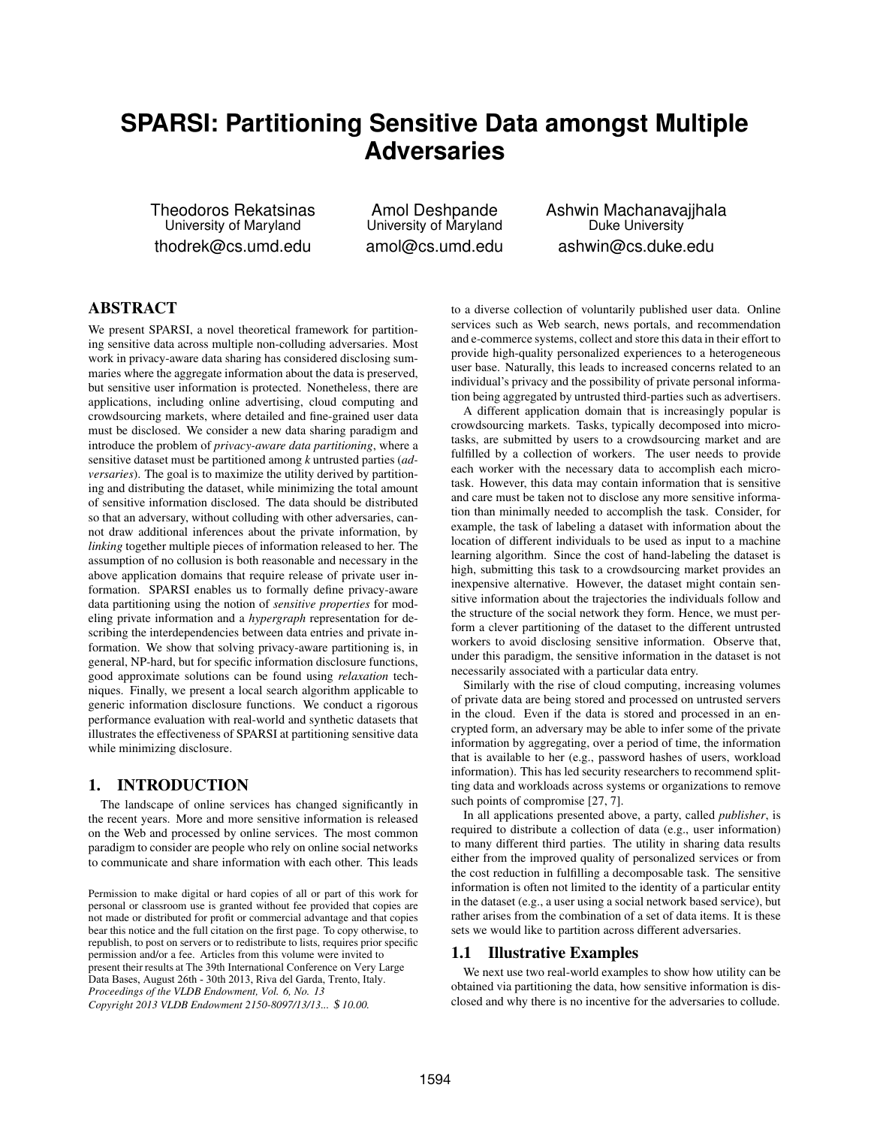# **SPARSI: Partitioning Sensitive Data amongst Multiple Adversaries**

Theodoros Rekatsinas University of Maryland thodrek@cs.umd.edu

Amol Deshpande University of Maryland amol@cs.umd.edu Ashwin Machanavajjhala Duke University ashwin@cs.duke.edu

# ABSTRACT

We present SPARSI, a novel theoretical framework for partitioning sensitive data across multiple non-colluding adversaries. Most work in privacy-aware data sharing has considered disclosing summaries where the aggregate information about the data is preserved, but sensitive user information is protected. Nonetheless, there are applications, including online advertising, cloud computing and crowdsourcing markets, where detailed and fine-grained user data must be disclosed. We consider a new data sharing paradigm and introduce the problem of *privacy-aware data partitioning*, where a sensitive dataset must be partitioned among *k* untrusted parties (*adversaries*). The goal is to maximize the utility derived by partitioning and distributing the dataset, while minimizing the total amount of sensitive information disclosed. The data should be distributed so that an adversary, without colluding with other adversaries, cannot draw additional inferences about the private information, by *linking* together multiple pieces of information released to her. The assumption of no collusion is both reasonable and necessary in the above application domains that require release of private user information. SPARSI enables us to formally define privacy-aware data partitioning using the notion of *sensitive properties* for modeling private information and a *hypergraph* representation for describing the interdependencies between data entries and private information. We show that solving privacy-aware partitioning is, in general, NP-hard, but for specific information disclosure functions, good approximate solutions can be found using *relaxation* techniques. Finally, we present a local search algorithm applicable to generic information disclosure functions. We conduct a rigorous performance evaluation with real-world and synthetic datasets that illustrates the effectiveness of SPARSI at partitioning sensitive data while minimizing disclosure.

## 1. INTRODUCTION

The landscape of online services has changed significantly in the recent years. More and more sensitive information is released on the Web and processed by online services. The most common paradigm to consider are people who rely on online social networks to communicate and share information with each other. This leads

Permission to make digital or hard copies of all or part of this work for personal or classroom use is granted without fee provided that copies are not made or distributed for profit or commercial advantage and that copies bear this notice and the full citation on the first page. To copy otherwise, to republish, to post on servers or to redistribute to lists, requires prior specific permission and/or a fee. Articles from this volume were invited to present their results at The 39th International Conference on Very Large Data Bases, August 26th - 30th 2013, Riva del Garda, Trento, Italy. *Proceedings of the VLDB Endowment, Vol. 6, No. 13 Copyright 2013 VLDB Endowment 2150-8097/13/... \$ 10.00.*

to a diverse collection of voluntarily published user data. Online services such as Web search, news portals, and recommendation and e-commerce systems, collect and store this data in their effort to provide high-quality personalized experiences to a heterogeneous user base. Naturally, this leads to increased concerns related to an individual's privacy and the possibility of private personal information being aggregated by untrusted third-parties such as advertisers.

A different application domain that is increasingly popular is crowdsourcing markets. Tasks, typically decomposed into microtasks, are submitted by users to a crowdsourcing market and are fulfilled by a collection of workers. The user needs to provide each worker with the necessary data to accomplish each microtask. However, this data may contain information that is sensitive and care must be taken not to disclose any more sensitive information than minimally needed to accomplish the task. Consider, for example, the task of labeling a dataset with information about the location of different individuals to be used as input to a machine learning algorithm. Since the cost of hand-labeling the dataset is high, submitting this task to a crowdsourcing market provides an inexpensive alternative. However, the dataset might contain sensitive information about the trajectories the individuals follow and the structure of the social network they form. Hence, we must perform a clever partitioning of the dataset to the different untrusted workers to avoid disclosing sensitive information. Observe that, under this paradigm, the sensitive information in the dataset is not necessarily associated with a particular data entry.

Similarly with the rise of cloud computing, increasing volumes of private data are being stored and processed on untrusted servers in the cloud. Even if the data is stored and processed in an encrypted form, an adversary may be able to infer some of the private information by aggregating, over a period of time, the information that is available to her (e.g., password hashes of users, workload information). This has led security researchers to recommend splitting data and workloads across systems or organizations to remove such points of compromise [27, 7].

In all applications presented above, a party, called *publisher*, is required to distribute a collection of data (e.g., user information) to many different third parties. The utility in sharing data results either from the improved quality of personalized services or from the cost reduction in fulfilling a decomposable task. The sensitive information is often not limited to the identity of a particular entity in the dataset (e.g., a user using a social network based service), but rather arises from the combination of a set of data items. It is these sets we would like to partition across different adversaries.

### 1.1 Illustrative Examples

We next use two real-world examples to show how utility can be obtained via partitioning the data, how sensitive information is disclosed and why there is no incentive for the adversaries to collude.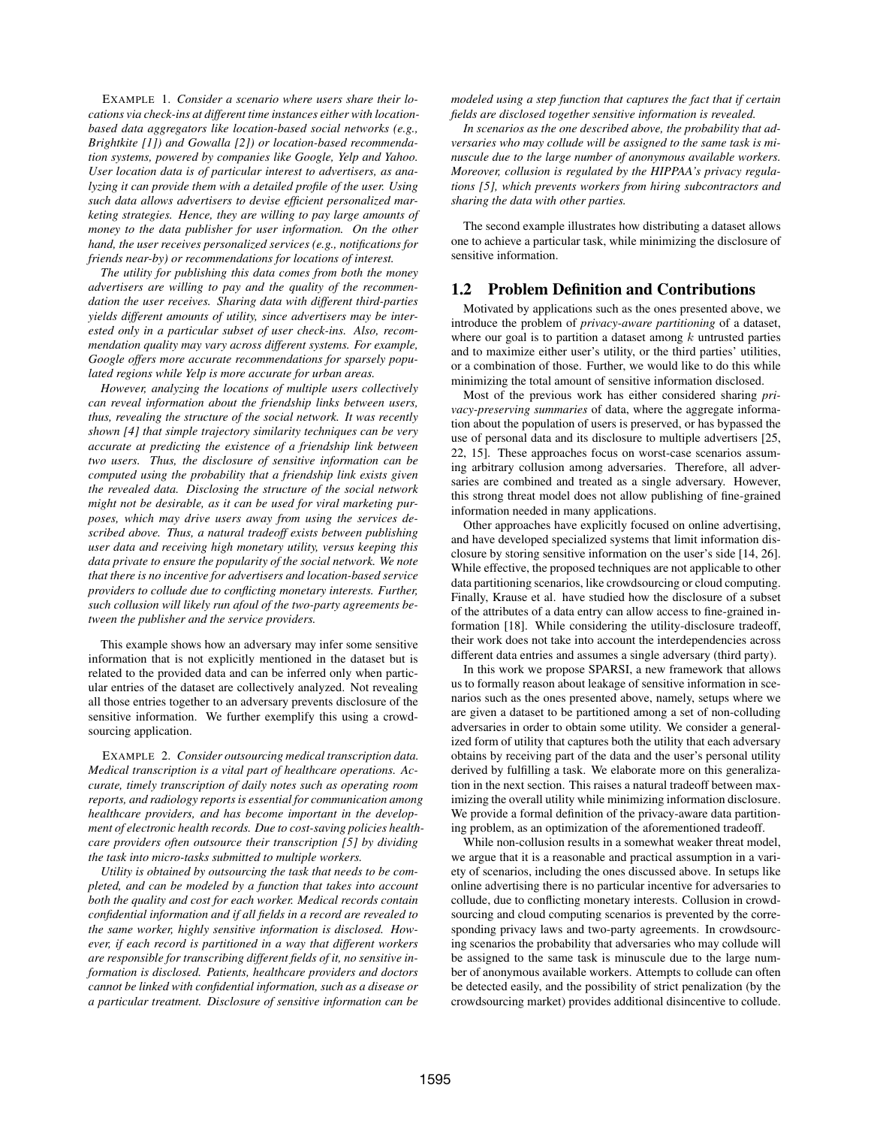EXAMPLE 1. *Consider a scenario where users share their locations via check-ins at different time instances either with locationbased data aggregators like location-based social networks (e.g., Brightkite [1]) and Gowalla [2]) or location-based recommendation systems, powered by companies like Google, Yelp and Yahoo. User location data is of particular interest to advertisers, as analyzing it can provide them with a detailed profile of the user. Using such data allows advertisers to devise efficient personalized marketing strategies. Hence, they are willing to pay large amounts of money to the data publisher for user information. On the other hand, the user receives personalized services (e.g., notifications for friends near-by) or recommendations for locations of interest.*

*The utility for publishing this data comes from both the money advertisers are willing to pay and the quality of the recommendation the user receives. Sharing data with different third-parties yields different amounts of utility, since advertisers may be interested only in a particular subset of user check-ins. Also, recommendation quality may vary across different systems. For example, Google offers more accurate recommendations for sparsely populated regions while Yelp is more accurate for urban areas.*

*However, analyzing the locations of multiple users collectively can reveal information about the friendship links between users, thus, revealing the structure of the social network. It was recently shown [4] that simple trajectory similarity techniques can be very accurate at predicting the existence of a friendship link between two users. Thus, the disclosure of sensitive information can be computed using the probability that a friendship link exists given the revealed data. Disclosing the structure of the social network might not be desirable, as it can be used for viral marketing purposes, which may drive users away from using the services described above. Thus, a natural tradeoff exists between publishing user data and receiving high monetary utility, versus keeping this data private to ensure the popularity of the social network. We note that there is no incentive for advertisers and location-based service providers to collude due to conflicting monetary interests. Further, such collusion will likely run afoul of the two-party agreements between the publisher and the service providers.*

This example shows how an adversary may infer some sensitive information that is not explicitly mentioned in the dataset but is related to the provided data and can be inferred only when particular entries of the dataset are collectively analyzed. Not revealing all those entries together to an adversary prevents disclosure of the sensitive information. We further exemplify this using a crowdsourcing application.

EXAMPLE 2. *Consider outsourcing medical transcription data. Medical transcription is a vital part of healthcare operations. Accurate, timely transcription of daily notes such as operating room reports, and radiology reports is essential for communication among healthcare providers, and has become important in the development of electronic health records. Due to cost-saving policies healthcare providers often outsource their transcription [5] by dividing the task into micro-tasks submitted to multiple workers.*

*Utility is obtained by outsourcing the task that needs to be completed, and can be modeled by a function that takes into account both the quality and cost for each worker. Medical records contain confidential information and if all fields in a record are revealed to the same worker, highly sensitive information is disclosed. However, if each record is partitioned in a way that different workers are responsible for transcribing different fields of it, no sensitive information is disclosed. Patients, healthcare providers and doctors cannot be linked with confidential information, such as a disease or a particular treatment. Disclosure of sensitive information can be* *modeled using a step function that captures the fact that if certain fields are disclosed together sensitive information is revealed.*

*In scenarios as the one described above, the probability that adversaries who may collude will be assigned to the same task is minuscule due to the large number of anonymous available workers. Moreover, collusion is regulated by the HIPPAA's privacy regulations [5], which prevents workers from hiring subcontractors and sharing the data with other parties.*

The second example illustrates how distributing a dataset allows one to achieve a particular task, while minimizing the disclosure of sensitive information.

## 1.2 Problem Definition and Contributions

Motivated by applications such as the ones presented above, we introduce the problem of *privacy-aware partitioning* of a dataset, where our goal is to partition a dataset among *k* untrusted parties and to maximize either user's utility, or the third parties' utilities, or a combination of those. Further, we would like to do this while minimizing the total amount of sensitive information disclosed.

Most of the previous work has either considered sharing *privacy-preserving summaries* of data, where the aggregate information about the population of users is preserved, or has bypassed the use of personal data and its disclosure to multiple advertisers [25, 22, 15]. These approaches focus on worst-case scenarios assuming arbitrary collusion among adversaries. Therefore, all adversaries are combined and treated as a single adversary. However, this strong threat model does not allow publishing of fine-grained information needed in many applications.

Other approaches have explicitly focused on online advertising, and have developed specialized systems that limit information disclosure by storing sensitive information on the user's side [14, 26]. While effective, the proposed techniques are not applicable to other data partitioning scenarios, like crowdsourcing or cloud computing. Finally, Krause et al. have studied how the disclosure of a subset of the attributes of a data entry can allow access to fine-grained information [18]. While considering the utility-disclosure tradeoff, their work does not take into account the interdependencies across different data entries and assumes a single adversary (third party).

In this work we propose SPARSI, a new framework that allows us to formally reason about leakage of sensitive information in scenarios such as the ones presented above, namely, setups where we are given a dataset to be partitioned among a set of non-colluding adversaries in order to obtain some utility. We consider a generalized form of utility that captures both the utility that each adversary obtains by receiving part of the data and the user's personal utility derived by fulfilling a task. We elaborate more on this generalization in the next section. This raises a natural tradeoff between maximizing the overall utility while minimizing information disclosure. We provide a formal definition of the privacy-aware data partitioning problem, as an optimization of the aforementioned tradeoff.

While non-collusion results in a somewhat weaker threat model, we argue that it is a reasonable and practical assumption in a variety of scenarios, including the ones discussed above. In setups like online advertising there is no particular incentive for adversaries to collude, due to conflicting monetary interests. Collusion in crowdsourcing and cloud computing scenarios is prevented by the corresponding privacy laws and two-party agreements. In crowdsourcing scenarios the probability that adversaries who may collude will be assigned to the same task is minuscule due to the large number of anonymous available workers. Attempts to collude can often be detected easily, and the possibility of strict penalization (by the crowdsourcing market) provides additional disincentive to collude.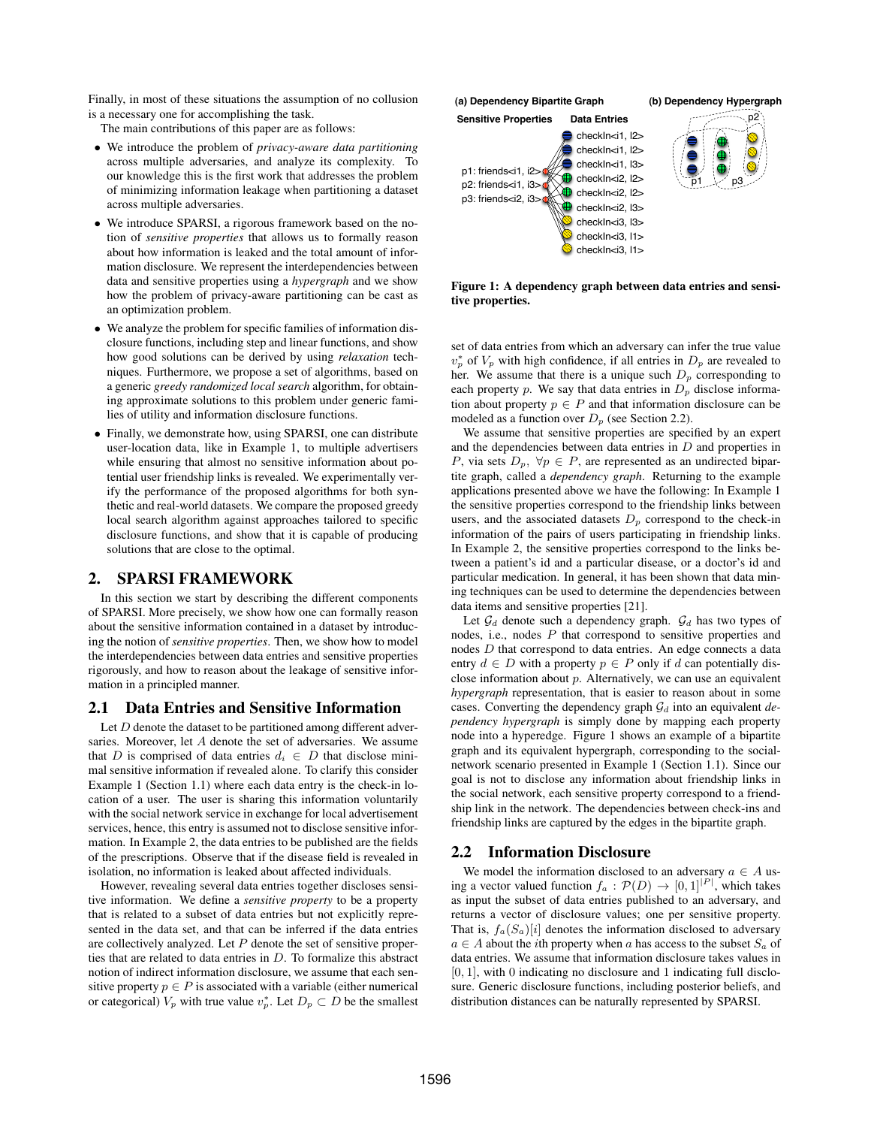Finally, in most of these situations the assumption of no collusion is a necessary one for accomplishing the task.

The main contributions of this paper are as follows:

- *•* We introduce the problem of *privacy-aware data partitioning* across multiple adversaries, and analyze its complexity. To our knowledge this is the first work that addresses the problem of minimizing information leakage when partitioning a dataset across multiple adversaries.
- *•* We introduce SPARSI, a rigorous framework based on the notion of *sensitive properties* that allows us to formally reason about how information is leaked and the total amount of information disclosure. We represent the interdependencies between data and sensitive properties using a *hypergraph* and we show how the problem of privacy-aware partitioning can be cast as an optimization problem.
- *•* We analyze the problem for specific families of information disclosure functions, including step and linear functions, and show how good solutions can be derived by using *relaxation* techniques. Furthermore, we propose a set of algorithms, based on a generic *greedy randomized local search* algorithm, for obtaining approximate solutions to this problem under generic families of utility and information disclosure functions.
- *•* Finally, we demonstrate how, using SPARSI, one can distribute user-location data, like in Example 1, to multiple advertisers while ensuring that almost no sensitive information about potential user friendship links is revealed. We experimentally verify the performance of the proposed algorithms for both synthetic and real-world datasets. We compare the proposed greedy local search algorithm against approaches tailored to specific disclosure functions, and show that it is capable of producing solutions that are close to the optimal.

# 2. SPARSI FRAMEWORK

In this section we start by describing the different components of SPARSI. More precisely, we show how one can formally reason about the sensitive information contained in a dataset by introducing the notion of *sensitive properties*. Then, we show how to model the interdependencies between data entries and sensitive properties rigorously, and how to reason about the leakage of sensitive information in a principled manner.

#### 2.1 Data Entries and Sensitive Information

Let *D* denote the dataset to be partitioned among different adversaries. Moreover, let *A* denote the set of adversaries. We assume that *D* is comprised of data entries  $d_i \in D$  that disclose minimal sensitive information if revealed alone. To clarify this consider Example 1 (Section 1.1) where each data entry is the check-in location of a user. The user is sharing this information voluntarily with the social network service in exchange for local advertisement services, hence, this entry is assumed not to disclose sensitive information. In Example 2, the data entries to be published are the fields of the prescriptions. Observe that if the disease field is revealed in isolation, no information is leaked about affected individuals.

However, revealing several data entries together discloses sensitive information. We define a *sensitive property* to be a property that is related to a subset of data entries but not explicitly represented in the data set, and that can be inferred if the data entries are collectively analyzed. Let *P* denote the set of sensitive properties that are related to data entries in *D*. To formalize this abstract notion of indirect information disclosure, we assume that each sensitive property  $p \in P$  is associated with a variable (either numerical or categorical)  $V_p$  with true value  $v_p^*$ . Let  $D_p \subset D$  be the smallest



#### Figure 1: A dependency graph between data entries and sensitive properties.

set of data entries from which an adversary can infer the true value  $v_p^*$  of  $V_p$  with high confidence, if all entries in  $D_p$  are revealed to her. We assume that there is a unique such *D<sup>p</sup>* corresponding to each property  $p$ . We say that data entries in  $D_p$  disclose information about property  $p \in P$  and that information disclosure can be modeled as a function over  $D_p$  (see Section 2.2).

We assume that sensitive properties are specified by an expert and the dependencies between data entries in *D* and properties in *P*, via sets  $D_p$ ,  $\forall p \in P$ , are represented as an undirected bipartite graph, called a *dependency graph*. Returning to the example applications presented above we have the following: In Example 1 the sensitive properties correspond to the friendship links between users, and the associated datasets  $D_p$  correspond to the check-in information of the pairs of users participating in friendship links. In Example 2, the sensitive properties correspond to the links between a patient's id and a particular disease, or a doctor's id and particular medication. In general, it has been shown that data mining techniques can be used to determine the dependencies between data items and sensitive properties [21].

Let  $\mathcal{G}_d$  denote such a dependency graph.  $\mathcal{G}_d$  has two types of nodes, i.e., nodes *P* that correspond to sensitive properties and nodes *D* that correspond to data entries. An edge connects a data entry  $d \in D$  with a property  $p \in P$  only if *d* can potentially disclose information about *p*. Alternatively, we can use an equivalent *hypergraph* representation, that is easier to reason about in some cases. Converting the dependency graph  $G_d$  into an equivalent *dependency hypergraph* is simply done by mapping each property node into a hyperedge. Figure 1 shows an example of a bipartite graph and its equivalent hypergraph, corresponding to the socialnetwork scenario presented in Example 1 (Section 1.1). Since our goal is not to disclose any information about friendship links in the social network, each sensitive property correspond to a friendship link in the network. The dependencies between check-ins and friendship links are captured by the edges in the bipartite graph.

# 2.2 Information Disclosure

We model the information disclosed to an adversary  $a \in A$  using a vector valued function  $f_a : \mathcal{P}(D) \to [0, 1]^{|\mathcal{P}|}$ , which takes as input the subset of data entries published to an adversary, and returns a vector of disclosure values; one per sensitive property. That is,  $f_a(S_a)[i]$  denotes the information disclosed to adversary  $a \in A$  about the *i*th property when *a* has access to the subset  $S_a$  of data entries. We assume that information disclosure takes values in [0, 1], with 0 indicating no disclosure and 1 indicating full disclosure. Generic disclosure functions, including posterior beliefs, and distribution distances can be naturally represented by SPARSI.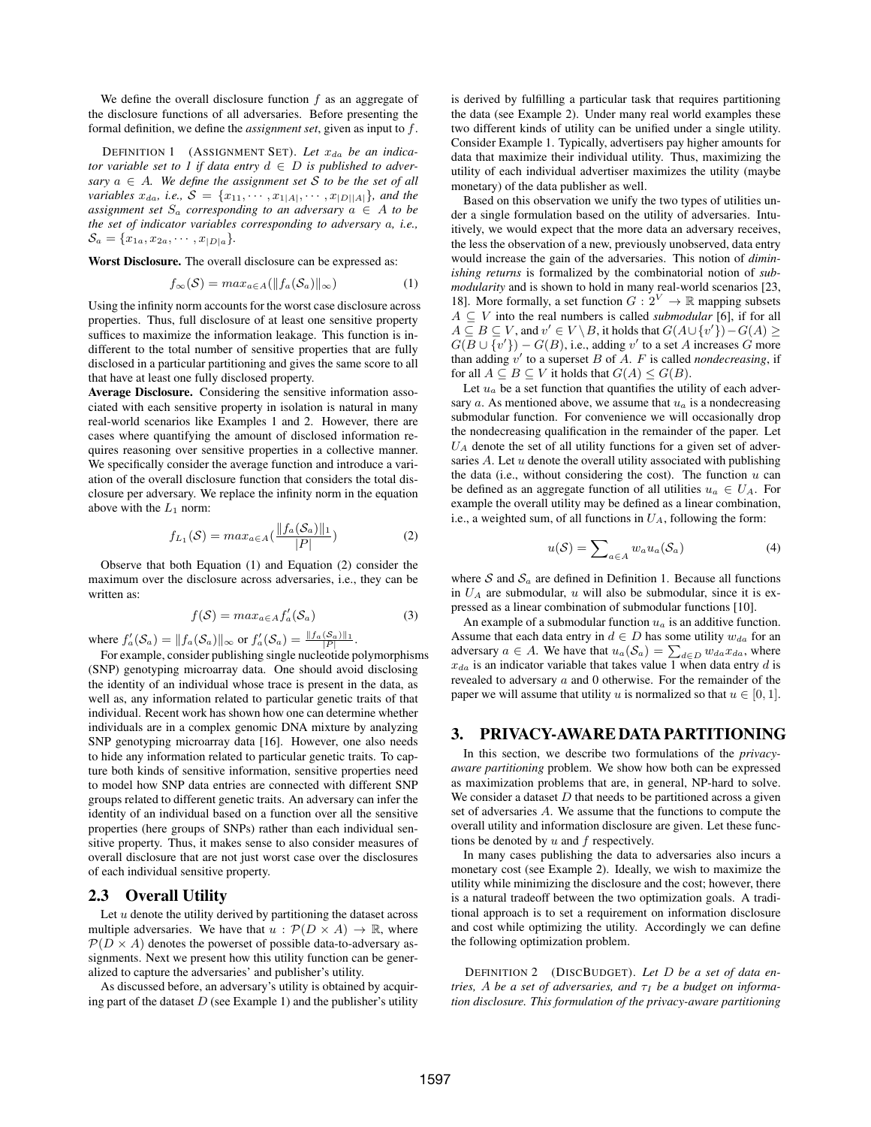We define the overall disclosure function *f* as an aggregate of the disclosure functions of all adversaries. Before presenting the formal definition, we define the *assignment set*, given as input to *f*.

DEFINITION 1 (ASSIGNMENT SET). *Let xda be an indicator variable set to 1 if data entry*  $d \in D$  *is published to adversary*  $a \in A$ *. We define the assignment set S to be the set of all* variables  $x_{da}$ , i.e.,  $S = \{x_{11}, \cdots, x_{1|A|}, \cdots, x_{|D||A|}\}$ , and the *assignment set*  $S_a$  *corresponding to an adversary*  $a \in A$  *to be the set of indicator variables corresponding to adversary a, i.e.,*  $S_a = \{x_{1a}, x_{2a}, \cdots, x_{|D|a}\}.$ 

Worst Disclosure. The overall disclosure can be expressed as:

$$
f_{\infty}(\mathcal{S}) = max_{a \in A}(\|f_a(\mathcal{S}_a)\|_{\infty})
$$
 (1)

Using the infinity norm accounts for the worst case disclosure across properties. Thus, full disclosure of at least one sensitive property suffices to maximize the information leakage. This function is indifferent to the total number of sensitive properties that are fully disclosed in a particular partitioning and gives the same score to all that have at least one fully disclosed property.

Average Disclosure. Considering the sensitive information associated with each sensitive property in isolation is natural in many real-world scenarios like Examples 1 and 2. However, there are cases where quantifying the amount of disclosed information requires reasoning over sensitive properties in a collective manner. We specifically consider the average function and introduce a variation of the overall disclosure function that considers the total disclosure per adversary. We replace the infinity norm in the equation above with the *L*<sup>1</sup> norm:

$$
f_{L_1}(\mathcal{S}) = max_{a \in A} \left( \frac{\|f_a(\mathcal{S}_a)\|_1}{|P|} \right) \tag{2}
$$

Observe that both Equation (1) and Equation (2) consider the maximum over the disclosure across adversaries, i.e., they can be written as:

$$
f(S) = max_{a \in A} f'_a(S_a)
$$
 (3)

where  $f'_a(\mathcal{S}_a) = ||f_a(\mathcal{S}_a)||_{\infty}$  or  $f'_a(\mathcal{S}_a) = \frac{||f_a(\mathcal{S}_a)||_1}{|P|}$ .

For example, consider publishing single nucleotide polymorphisms (SNP) genotyping microarray data. One should avoid disclosing the identity of an individual whose trace is present in the data, as well as, any information related to particular genetic traits of that individual. Recent work has shown how one can determine whether individuals are in a complex genomic DNA mixture by analyzing SNP genotyping microarray data [16]. However, one also needs to hide any information related to particular genetic traits. To capture both kinds of sensitive information, sensitive properties need to model how SNP data entries are connected with different SNP groups related to different genetic traits. An adversary can infer the identity of an individual based on a function over all the sensitive properties (here groups of SNPs) rather than each individual sensitive property. Thus, it makes sense to also consider measures of overall disclosure that are not just worst case over the disclosures of each individual sensitive property.

## 2.3 Overall Utility

Let  $u$  denote the utility derived by partitioning the dataset across multiple adversaries. We have that  $u : \mathcal{P}(D \times A) \to \mathbb{R}$ , where  $P(D \times A)$  denotes the powerset of possible data-to-adversary assignments. Next we present how this utility function can be generalized to capture the adversaries' and publisher's utility.

As discussed before, an adversary's utility is obtained by acquiring part of the dataset *D* (see Example 1) and the publisher's utility is derived by fulfilling a particular task that requires partitioning the data (see Example 2). Under many real world examples these two different kinds of utility can be unified under a single utility. Consider Example 1. Typically, advertisers pay higher amounts for data that maximize their individual utility. Thus, maximizing the utility of each individual advertiser maximizes the utility (maybe monetary) of the data publisher as well.

Based on this observation we unify the two types of utilities under a single formulation based on the utility of adversaries. Intuitively, we would expect that the more data an adversary receives, the less the observation of a new, previously unobserved, data entry would increase the gain of the adversaries. This notion of *diminishing returns* is formalized by the combinatorial notion of *submodularity* and is shown to hold in many real-world scenarios [23, 18]. More formally, a set function  $G: 2^V \to \mathbb{R}$  mapping subsets  $A \subseteq V$  into the real numbers is called *submodular* [6], if for all  $A \subseteq B \subseteq V$ , and  $v' \in V \setminus B$ , it holds that  $G(A \cup \{v'\}) - G(A) \ge$  $G(B \cup \{v'\}) - G(B)$ , i.e., adding *v'* to a set *A* increases *G* more than adding  $v'$  to a superset  $B$  of  $A$ .  $F$  is called *nondecreasing*, if for all  $A \subseteq B \subseteq V$  it holds that  $G(A) \leq G(B)$ .

Let  $u_a$  be a set function that quantifies the utility of each adversary *a*. As mentioned above, we assume that  $u_a$  is a nondecreasing submodular function. For convenience we will occasionally drop the nondecreasing qualification in the remainder of the paper. Let  $U_A$  denote the set of all utility functions for a given set of adversaries *A*. Let *u* denote the overall utility associated with publishing the data (i.e., without considering the cost). The function *u* can be defined as an aggregate function of all utilities  $u_a \in U_A$ . For example the overall utility may be defined as a linear combination, i.e., a weighted sum, of all functions in *UA*, following the form:

$$
u(S) = \sum_{a \in A} w_a u_a(S_a)
$$
 (4)

where  $S$  and  $S_a$  are defined in Definition 1. Because all functions in *U<sup>A</sup>* are submodular, *u* will also be submodular, since it is expressed as a linear combination of submodular functions [10].

An example of a submodular function *u<sup>a</sup>* is an additive function. Assume that each data entry in  $d \in D$  has some utility  $w_{da}$  for an adversary  $a \in A$ . We have that  $u_a(S_a) = \sum_{d \in D} w_{da} x_{da}$ , where  $x_{da}$  is an indicator variable that takes value  $\overline{1}$  when data entry *d* is revealed to adversary *a* and 0 otherwise. For the remainder of the paper we will assume that utility *u* is normalized so that  $u \in [0, 1]$ .

## 3. PRIVACY-AWARE DATA PARTITIONING

In this section, we describe two formulations of the *privacyaware partitioning* problem. We show how both can be expressed as maximization problems that are, in general, NP-hard to solve. We consider a dataset  $D$  that needs to be partitioned across a given set of adversaries *A*. We assume that the functions to compute the overall utility and information disclosure are given. Let these functions be denoted by *u* and *f* respectively.

In many cases publishing the data to adversaries also incurs a monetary cost (see Example 2). Ideally, we wish to maximize the utility while minimizing the disclosure and the cost; however, there is a natural tradeoff between the two optimization goals. A traditional approach is to set a requirement on information disclosure and cost while optimizing the utility. Accordingly we can define the following optimization problem.

DEFINITION 2 (DISCBUDGET). *Let D be a set of data entries, A be a set of adversaries, and*  $\tau_I$  *be a budget on information disclosure. This formulation of the privacy-aware partitioning*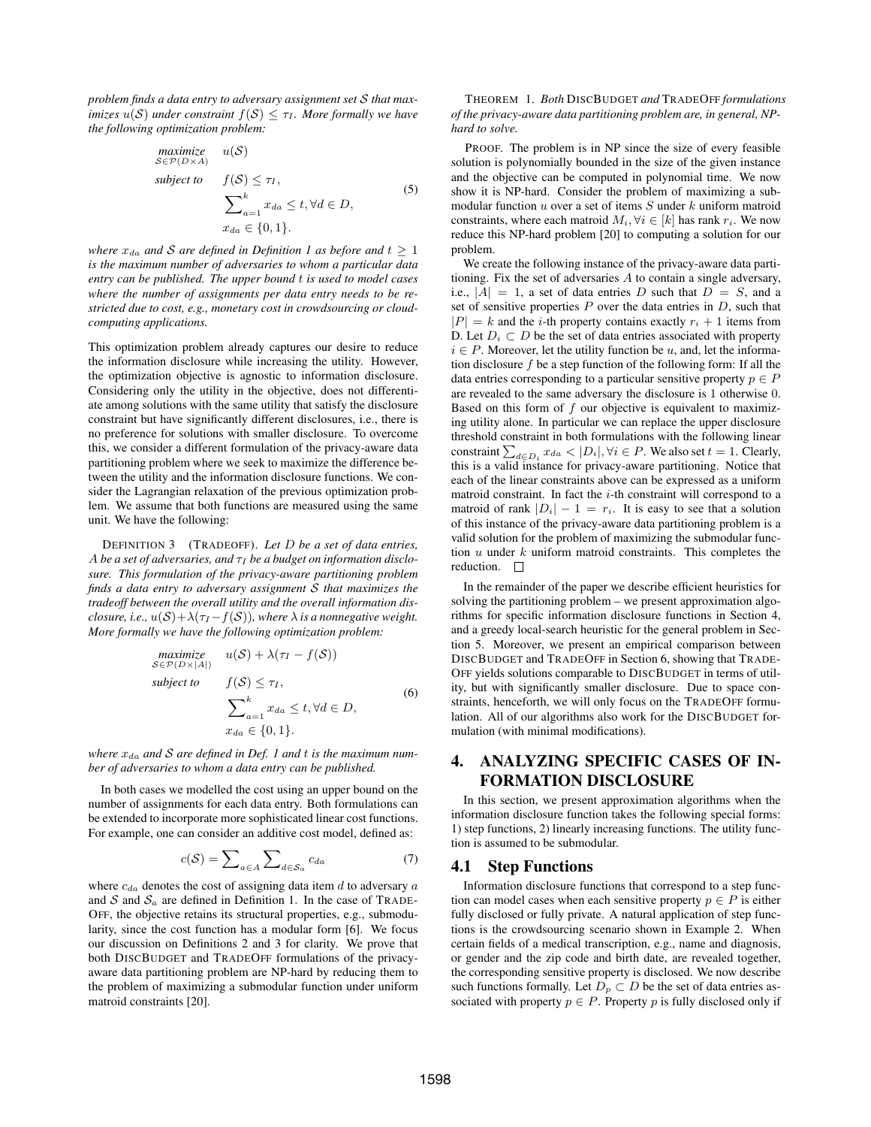*problem finds a data entry to adversary assignment set S that maximizes*  $u(S)$  *under constraint*  $f(S) \leq \tau_I$ *. More formally we have the following optimization problem:*

$$
\begin{array}{ll}\n\text{maximize} & u(\mathcal{S}) \\
\text{s \in } \mathcal{P}(D \times A) \\
\text{subject to} & f(\mathcal{S}) \leq \tau_I, \\
& \sum_{a=1}^k x_{da} \leq t, \forall d \in D, \\
& x_{da} \in \{0, 1\}.\n\end{array} \tag{5}
$$

*where*  $x_{da}$  *and S* are defined in Definition 1 as before and  $t \geq 1$ *is the maximum number of adversaries to whom a particular data entry can be published. The upper bound t is used to model cases where the number of assignments per data entry needs to be restricted due to cost, e.g., monetary cost in crowdsourcing or cloudcomputing applications.*

This optimization problem already captures our desire to reduce the information disclosure while increasing the utility. However, the optimization objective is agnostic to information disclosure. Considering only the utility in the objective, does not differentiate among solutions with the same utility that satisfy the disclosure constraint but have significantly different disclosures, i.e., there is no preference for solutions with smaller disclosure. To overcome this, we consider a different formulation of the privacy-aware data partitioning problem where we seek to maximize the difference between the utility and the information disclosure functions. We consider the Lagrangian relaxation of the previous optimization problem. We assume that both functions are measured using the same unit. We have the following:

DEFINITION 3 (TRADEOFF). *Let D be a set of data entries, A be a set of adversaries, and*  $\tau$ *<sub>I</sub> be a budget on information disclosure. This formulation of the privacy-aware partitioning problem finds a data entry to adversary assignment S that maximizes the tradeoff between the overall utility and the overall information disclosure, i.e.,*  $u(S) + \lambda(\tau_I - f(S))$ *, where*  $\lambda$  *is a nonnegative weight. More formally we have the following optimization problem:*

maximize  
\n
$$
u(S) + \lambda(\tau_I - f(S))
$$
\nsubject to  
\n
$$
f(S) \leq \tau_I,
$$
\n
$$
\sum_{a=1}^k x_{da} \leq t, \forall d \in D,
$$
\n
$$
x_{da} \in \{0, 1\}.
$$
\n(6)

*where xda and S are defined in Def. 1 and t is the maximum number of adversaries to whom a data entry can be published.*

In both cases we modelled the cost using an upper bound on the number of assignments for each data entry. Both formulations can be extended to incorporate more sophisticated linear cost functions. For example, one can consider an additive cost model, defined as:

$$
c(S) = \sum_{a \in A} \sum_{d \in S_a} c_{da} \tag{7}
$$

where *cda* denotes the cost of assigning data item *d* to adversary *a* and  $S$  and  $S_a$  are defined in Definition 1. In the case of TRADE-OFF, the objective retains its structural properties, e.g., submodularity, since the cost function has a modular form [6]. We focus our discussion on Definitions 2 and 3 for clarity. We prove that both DISCBUDGET and TRADEOFF formulations of the privacyaware data partitioning problem are NP-hard by reducing them to the problem of maximizing a submodular function under uniform matroid constraints [20].

THEOREM 1. *Both* DISCBUDGET *and* TRADEOFF *formulations of the privacy-aware data partitioning problem are, in general, NPhard to solve.*

PROOF. The problem is in NP since the size of every feasible solution is polynomially bounded in the size of the given instance and the objective can be computed in polynomial time. We now show it is NP-hard. Consider the problem of maximizing a submodular function *u* over a set of items *S* under *k* uniform matroid constraints, where each matroid  $M_i$ ,  $\forall i \in [k]$  has rank  $r_i$ . We now reduce this NP-hard problem [20] to computing a solution for our problem.

We create the following instance of the privacy-aware data partitioning. Fix the set of adversaries *A* to contain a single adversary, i.e.,  $|A| = 1$ , a set of data entries *D* such that  $D = S$ , and a set of sensitive properties *P* over the data entries in *D*, such that  $|P| = k$  and the *i*-th property contains exactly  $r_i + 1$  items from D. Let  $D_i \subset D$  be the set of data entries associated with property  $i \in P$ . Moreover, let the utility function be *u*, and, let the information disclosure *f* be a step function of the following form: If all the data entries corresponding to a particular sensitive property  $p \in P$ are revealed to the same adversary the disclosure is 1 otherwise 0. Based on this form of *f* our objective is equivalent to maximizing utility alone. In particular we can replace the upper disclosure threshold constraint in both formulations with the following linear constraint  $\sum_{d \in D_i} x_{da} < |D_i|, \forall i \in P$ . We also set  $t = 1$ . Clearly, this is a valid instance for privacy-aware partitioning. Notice that each of the linear constraints above can be expressed as a uniform matroid constraint. In fact the *i*-th constraint will correspond to a matroid of rank  $|D_i| - 1 = r_i$ . It is easy to see that a solution of this instance of the privacy-aware data partitioning problem is a valid solution for the problem of maximizing the submodular function *u* under *k* uniform matroid constraints. This completes the reduction.  $\square$ 

In the remainder of the paper we describe efficient heuristics for solving the partitioning problem – we present approximation algorithms for specific information disclosure functions in Section 4, and a greedy local-search heuristic for the general problem in Section 5. Moreover, we present an empirical comparison between DISCBUDGET and TRADEOFF in Section 6, showing that TRADE-OFF yields solutions comparable to DISCBUDGET in terms of utility, but with significantly smaller disclosure. Due to space constraints, henceforth, we will only focus on the TRADEOFF formulation. All of our algorithms also work for the DISCBUDGET formulation (with minimal modifications).

# 4. ANALYZING SPECIFIC CASES OF IN-FORMATION DISCLOSURE

In this section, we present approximation algorithms when the information disclosure function takes the following special forms: 1) step functions, 2) linearly increasing functions. The utility function is assumed to be submodular.

#### 4.1 Step Functions

Information disclosure functions that correspond to a step function can model cases when each sensitive property  $p \in P$  is either fully disclosed or fully private. A natural application of step functions is the crowdsourcing scenario shown in Example 2. When certain fields of a medical transcription, e.g., name and diagnosis, or gender and the zip code and birth date, are revealed together, the corresponding sensitive property is disclosed. We now describe such functions formally. Let  $D_p \subset D$  be the set of data entries associated with property  $p \in P$ . Property *p* is fully disclosed only if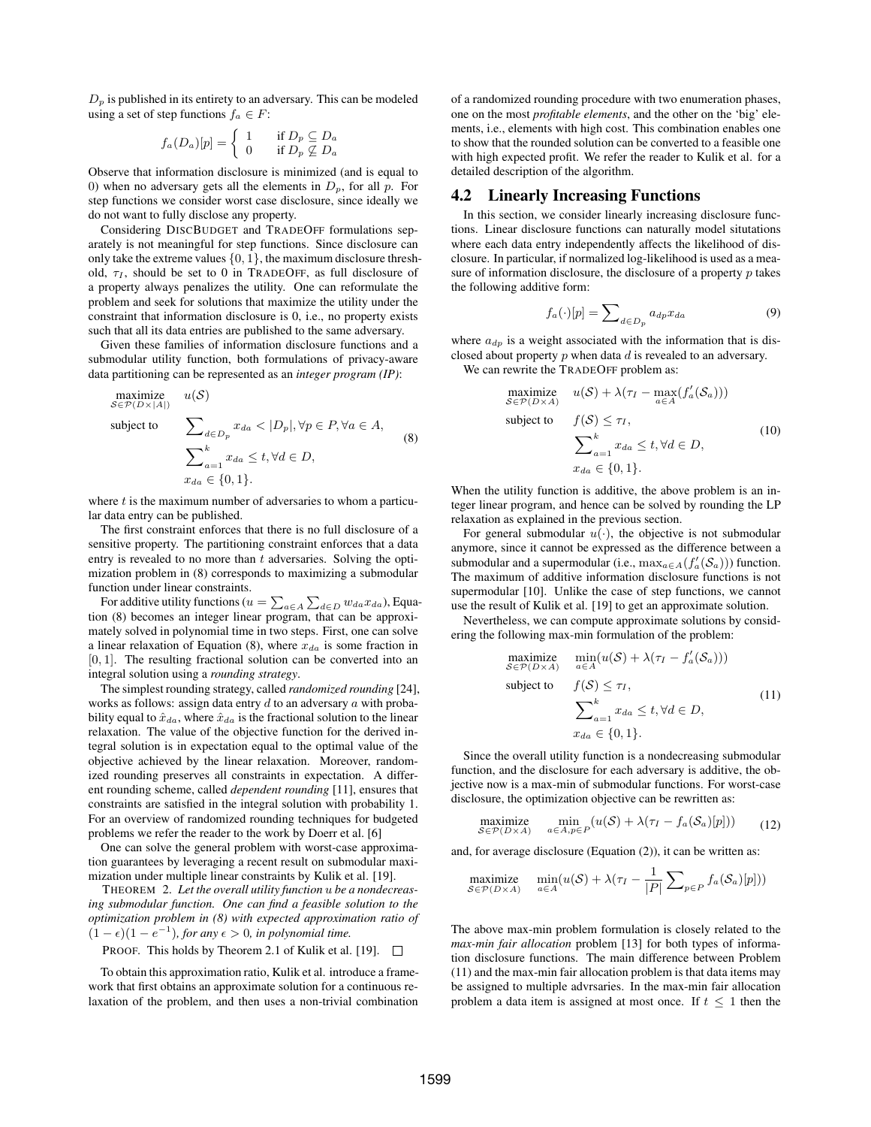$D_p$  is published in its entirety to an adversary. This can be modeled using a set of step functions  $f_a \in F$ :

$$
f_a(D_a)[p] = \begin{cases} 1 & \text{if } D_p \subseteq D_a \\ 0 & \text{if } D_p \not\subseteq D_a \end{cases}
$$

Observe that information disclosure is minimized (and is equal to 0) when no adversary gets all the elements in  $D_p$ , for all  $p$ . For step functions we consider worst case disclosure, since ideally we do not want to fully disclose any property.

Considering DISCBUDGET and TRADEOFF formulations separately is not meaningful for step functions. Since disclosure can only take the extreme values *{*0*,* 1*}*, the maximum disclosure threshold,  $\tau_I$ , should be set to 0 in TRADEOFF, as full disclosure of a property always penalizes the utility. One can reformulate the problem and seek for solutions that maximize the utility under the constraint that information disclosure is 0, i.e., no property exists such that all its data entries are published to the same adversary.

Given these families of information disclosure functions and a submodular utility function, both formulations of privacy-aware data partitioning can be represented as an *integer program (IP)*:

$$
\begin{aligned}\n\text{maximize} & \quad u(\mathcal{S}) \\
\text{subject to} & \quad \sum_{d \in D_p} x_{da} < |D_p|, \forall p \in P, \forall a \in A, \\
&\quad \sum_{a=1}^k x_{da} \le t, \forall d \in D, \\
&x_{da} \in \{0, 1\}.\n\end{aligned} \tag{8}
$$

where *t* is the maximum number of adversaries to whom a particular data entry can be published.

The first constraint enforces that there is no full disclosure of a sensitive property. The partitioning constraint enforces that a data entry is revealed to no more than *t* adversaries. Solving the optimization problem in (8) corresponds to maximizing a submodular function under linear constraints.

For additive utility functions  $(u = \sum_{a \in A} \sum_{d \in D} w_{da} x_{da})$ , Equation (8) becomes an integer linear program, that can be approximately solved in polynomial time in two steps. First, one can solve a linear relaxation of Equation (8), where  $x_{da}$  is some fraction in [0*,* 1]. The resulting fractional solution can be converted into an integral solution using a *rounding strategy*.

The simplest rounding strategy, called *randomized rounding* [24], works as follows: assign data entry *d* to an adversary *a* with probability equal to  $\hat{x}_{da}$ , where  $\hat{x}_{da}$  is the fractional solution to the linear relaxation. The value of the objective function for the derived integral solution is in expectation equal to the optimal value of the objective achieved by the linear relaxation. Moreover, randomized rounding preserves all constraints in expectation. A different rounding scheme, called *dependent rounding* [11], ensures that constraints are satisfied in the integral solution with probability 1. For an overview of randomized rounding techniques for budgeted problems we refer the reader to the work by Doerr et al. [6]

One can solve the general problem with worst-case approximation guarantees by leveraging a recent result on submodular maximization under multiple linear constraints by Kulik et al. [19].

THEOREM 2. *Let the overall utility function u be a nondecreasing submodular function. One can find a feasible solution to the optimization problem in (8) with expected approximation ratio of*  $(1 - \epsilon)(1 - e^{-1})$ *, for any*  $\epsilon > 0$ *, in polynomial time.* 

PROOF. This holds by Theorem 2.1 of Kulik et al. [19].  $\Box$ 

To obtain this approximation ratio, Kulik et al. introduce a framework that first obtains an approximate solution for a continuous relaxation of the problem, and then uses a non-trivial combination of a randomized rounding procedure with two enumeration phases, one on the most *profitable elements*, and the other on the 'big' elements, i.e., elements with high cost. This combination enables one to show that the rounded solution can be converted to a feasible one with high expected profit. We refer the reader to Kulik et al. for a detailed description of the algorithm.

## 4.2 Linearly Increasing Functions

In this section, we consider linearly increasing disclosure functions. Linear disclosure functions can naturally model situtations where each data entry independently affects the likelihood of disclosure. In particular, if normalized log-likelihood is used as a measure of information disclosure, the disclosure of a property *p* takes the following additive form:

$$
f_a(\cdot)[p] = \sum_{d \in D_p} a_{dp} x_{da} \tag{9}
$$

where  $a_{dp}$  is a weight associated with the information that is disclosed about property *p* when data *d* is revealed to an adversary. We can rewrite the TRADEOFF problem as:

maximize 
$$
u(S) + \lambda(\tau_I - \max_{a \in A} (f'_a(S_a)))
$$
  
\nsubject to  $f(S) \leq \tau_I$ ,  
\n
$$
\sum_{a=1}^k x_{da} \leq t, \forall d \in D,
$$
\n
$$
x_{da} \in \{0, 1\}.
$$
\n(10)

When the utility function is additive, the above problem is an integer linear program, and hence can be solved by rounding the LP relaxation as explained in the previous section.

For general submodular  $u(\cdot)$ , the objective is not submodular anymore, since it cannot be expressed as the difference between a submodular and a supermodular (i.e.,  $\max_{a \in A} (f_a'(S_a)))$  function. The maximum of additive information disclosure functions is not supermodular [10]. Unlike the case of step functions, we cannot use the result of Kulik et al. [19] to get an approximate solution.

Nevertheless, we can compute approximate solutions by considering the following max-min formulation of the problem:

maximize  
\n
$$
\min_{S \in \mathcal{P}(D \times A)} \min_{a \in A} (u(S) + \lambda(\tau_I - f'_a(S_a)))
$$
\nsubject to  
\n
$$
f(S) \leq \tau_I,
$$
\n
$$
\sum_{a=1}^k x_{da} \leq t, \forall d \in D,
$$
\n
$$
x_{da} \in \{0, 1\}.
$$
\n(11)

Since the overall utility function is a nondecreasing submodular function, and the disclosure for each adversary is additive, the objective now is a max-min of submodular functions. For worst-case disclosure, the optimization objective can be rewritten as:

$$
\underset{\mathcal{S}\in\mathcal{P}(D\times A)}{\text{maximize}} \quad \underset{a\in A, p\in P}{\min} (u(\mathcal{S}) + \lambda(\tau_I - f_a(\mathcal{S}_a)[p])) \tag{12}
$$

and, for average disclosure (Equation (2)), it can be written as:

$$
\underset{\mathcal{S}\in\mathcal{P}(D\times A)}{\text{maximize}} \quad \underset{a\in A}{\text{min}} (u(\mathcal{S}) + \lambda(\tau_I - \frac{1}{|P|}\sum_{p\in P} f_a(\mathcal{S}_a)[p]))
$$

The above max-min problem formulation is closely related to the *max-min fair allocation* problem [13] for both types of information disclosure functions. The main difference between Problem (11) and the max-min fair allocation problem is that data items may be assigned to multiple advrsaries. In the max-min fair allocation problem a data item is assigned at most once. If  $t \leq 1$  then the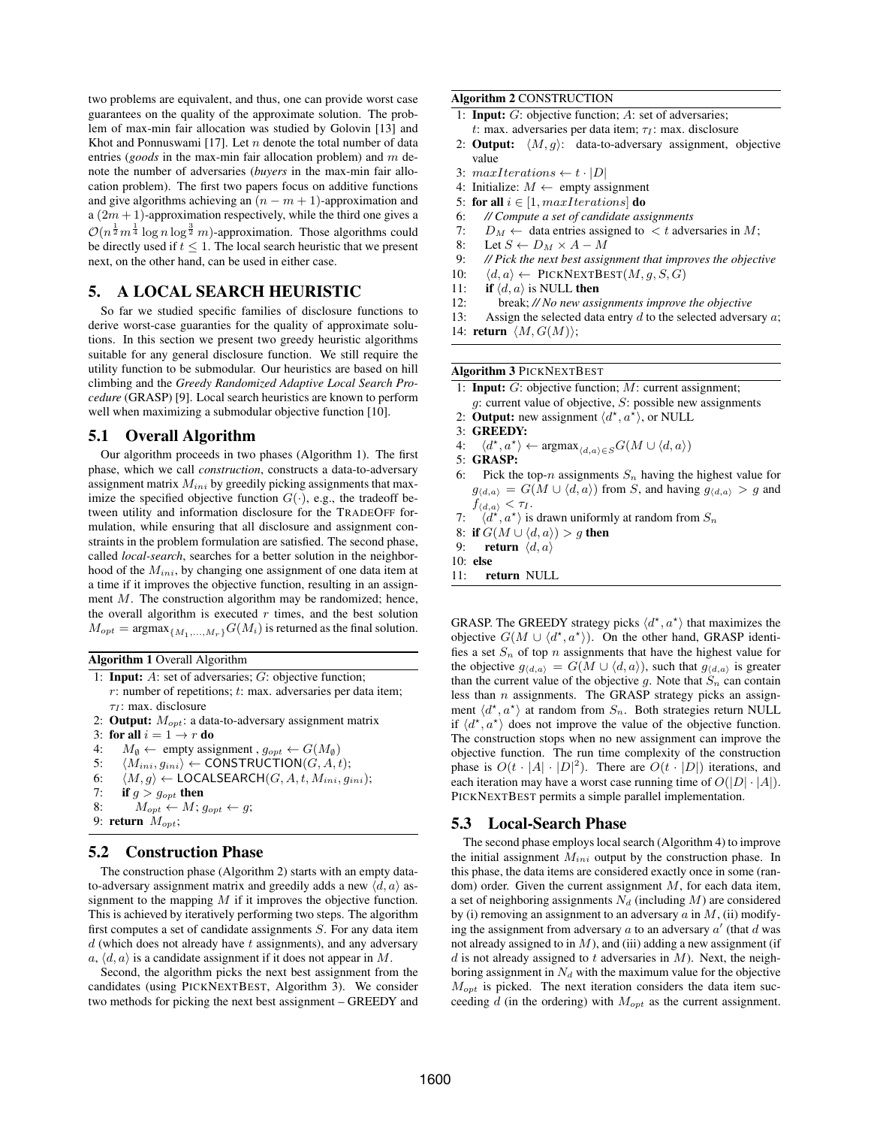two problems are equivalent, and thus, one can provide worst case guarantees on the quality of the approximate solution. The problem of max-min fair allocation was studied by Golovin [13] and Khot and Ponnuswami [17]. Let *n* denote the total number of data entries (*goods* in the max-min fair allocation problem) and *m* denote the number of adversaries (*buyers* in the max-min fair allocation problem). The first two papers focus on additive functions and give algorithms achieving an  $(n - m + 1)$ -approximation and a (2*m* + 1)-approximation respectively, while the third one gives a  $O(n^{\frac{1}{2}}m^{\frac{1}{4}} \log n \log^{\frac{3}{2}} m)$ -approximation. Those algorithms could be directly used if  $t \leq 1$ . The local search heuristic that we present next, on the other hand, can be used in either case.

## 5. A LOCAL SEARCH HEURISTIC

So far we studied specific families of disclosure functions to derive worst-case guaranties for the quality of approximate solutions. In this section we present two greedy heuristic algorithms suitable for any general disclosure function. We still require the utility function to be submodular. Our heuristics are based on hill climbing and the *Greedy Randomized Adaptive Local Search Procedure* (GRASP) [9]. Local search heuristics are known to perform well when maximizing a submodular objective function [10].

## 5.1 Overall Algorithm

Our algorithm proceeds in two phases (Algorithm 1). The first phase, which we call *construction*, constructs a data-to-adversary assignment matrix *Mini* by greedily picking assignments that maximize the specified objective function  $G(\cdot)$ , e.g., the tradeoff between utility and information disclosure for the TRADEOFF formulation, while ensuring that all disclosure and assignment constraints in the problem formulation are satisfied. The second phase, called *local-search*, searches for a better solution in the neighborhood of the *Mini*, by changing one assignment of one data item at a time if it improves the objective function, resulting in an assignment *M*. The construction algorithm may be randomized; hence, the overall algorithm is executed *r* times, and the best solution  $M_{opt} = \text{argmax}_{\{M_1, \ldots, M_r\}} G(M_i)$  is returned as the final solution.

Algorithm 1 Overall Algorithm

- 1: Input: *A*: set of adversaries; *G*: objective function; *r*: number of repetitions; *t*: max. adversaries per data item;  $\tau_I$ : max. disclosure
- 2: Output: *Mopt*: a data-to-adversary assignment matrix
- 3: for all  $i = 1 \rightarrow r$  do<br>4:  $M_0 \leftarrow$  empty assi
- 4:  $M_{\emptyset} \leftarrow \text{empty assignment}, g_{opt} \leftarrow G(M_{\emptyset})$ <br>5:  $(M_{\text{ini}} | g_{\text{ini}}) \leftarrow \text{CONSTRUCTION}(G, A, B)$
- 5:  $\langle M_{ini}, g_{ini} \rangle \leftarrow \text{CONSTRUCTION}(G, A, t);$ <br>6:  $\langle M, g \rangle \leftarrow \text{LOCALSEARCH}(G, A, t, M_{ini}, g)$
- 6:  $\langle M, g \rangle \leftarrow \text{LOCALSEARCH}(G, A, t, M_{ini}, g_{ini});$ <br>7: **if**  $g > g_{oot}$  then
- if  $g > g_{opt}$  then
- 8:  $M_{opt} \leftarrow M; g_{opt} \leftarrow g;$
- 9: return *Mopt*;

# 5.2 Construction Phase

The construction phase (Algorithm 2) starts with an empty datato-adversary assignment matrix and greedily adds a new  $\langle d, a \rangle$  assignment to the mapping *M* if it improves the objective function. This is achieved by iteratively performing two steps. The algorithm first computes a set of candidate assignments *S*. For any data item *d* (which does not already have *t* assignments), and any adversary  $a, \langle d, a \rangle$  is a candidate assignment if it does not appear in *M*.

Second, the algorithm picks the next best assignment from the candidates (using PICKNEXTBEST, Algorithm 3). We consider two methods for picking the next best assignment – GREEDY and

#### Algorithm 2 CONSTRUCTION

- 1: Input: *G*: objective function; *A*: set of adversaries;  $t$ : max. adversaries per data item;  $\tau$ *I* : max. disclosure
- 2: **Output:**  $\langle M, g \rangle$ : data-to-adversary assignment, objective value
- 3:  $maxIterations \leftarrow t \cdot |D|$
- 4: Initialize:  $M \leftarrow \text{empty assignment}$
- 5: **for all**  $i \in [1, maxIterations]$  **do**<br>6: // Compute a set of candidate ass
- 6: *// Compute a set of candidate assignments*
- 7:  $D_M \leftarrow$  data entries assigned to  $\lt t$  adversaries in *M*;<br>8: Let  $S \leftarrow D_M \times A M$
- 8: Let  $S \leftarrow D_M \times A M$ <br>9: // Pick the next best assig
- 9: *// Pick the next best assignment that improves the objective*
- 10:  $\langle d, a \rangle \leftarrow$  PICKNEXTBEST $(M, g, S, G)$ <br>11: **if**  $\langle d, a \rangle$  is NULL **then**
- 11: **if**  $\langle d, a \rangle$  is NULL **then**<br>12: **break**; // No new assu
- break; // No new assignments improve the objective
- 13: Assign the selected data entry *d* to the selected adversary *a*;
- 14: **return**  $\langle M, G(M) \rangle$ ;

#### Algorithm 3 PICKNEXTBEST

- 1: Input: *G*: objective function; *M*: current assignment; *g*: current value of objective, *S*: possible new assignments
- 2: **Output:** new assignment  $\langle d^*, a^* \rangle$ , or NULL
- 3: GREEDY:
- 4:  $\langle d^*, a^* \rangle \leftarrow \text{argmax}_{\langle d, a \rangle \in S} G(M \cup \langle d, a \rangle)$
- 5: GRASP:
- 6: Pick the top-*n* assignments *S<sup>n</sup>* having the highest value for  $g_{\langle d,a \rangle} = G(M \cup \langle d,a \rangle)$  from *S*, and having  $g_{\langle d,a \rangle} > g$  and  $f_{\langle d,a \rangle} < \tau_I$ .
- 7:  $\langle d^{\star}, a^{\star} \rangle$  is drawn uniformly at random from  $S_n$
- 8: if  $G(M \cup \langle d, a \rangle) > g$  then<br>9: **return**  $\langle d, a \rangle$
- return  $\langle d, a \rangle$
- 10: else
- 11: return NULL

GRASP. The GREEDY strategy picks  $\langle d^*, a^* \rangle$  that maximizes the objective  $G(M \cup \langle d^*, a^* \rangle)$ . On the other hand, GRASP identifies a set  $S_n$  of top *n* assignments that have the highest value for the objective  $g_{\langle d,a \rangle} = G(M \cup \langle d,a \rangle)$ , such that  $g_{\langle d,a \rangle}$  is greater than the current value of the objective  $g$ . Note that  $S_n$  can contain less than *n* assignments. The GRASP strategy picks an assignment  $\langle d^*, a^* \rangle$  at random from  $S_n$ . Both strategies return NULL if  $\langle d^*, a^* \rangle$  does not improve the value of the objective function. The construction stops when no new assignment can improve the objective function. The run time complexity of the construction phase is  $O(t \cdot |A| \cdot |D|^2)$ . There are  $O(t \cdot |D|)$  iterations, and each iteration may have a worst case running time of  $O(|D| \cdot |A|)$ . PICKNEXTBEST permits a simple parallel implementation.

## 5.3 Local-Search Phase

The second phase employs local search (Algorithm 4) to improve the initial assignment *Mini* output by the construction phase. In this phase, the data items are considered exactly once in some (random) order. Given the current assignment *M*, for each data item, a set of neighboring assignments *N<sup>d</sup>* (including *M*) are considered by (i) removing an assignment to an adversary *a* in *M*, (ii) modifying the assignment from adversary  $a$  to an adversary  $a'$  (that  $d$  was not already assigned to in *M*), and (iii) adding a new assignment (if *d* is not already assigned to *t* adversaries in *M*). Next, the neighboring assignment in  $N_d$  with the maximum value for the objective *Mopt* is picked. The next iteration considers the data item succeeding *d* (in the ordering) with *Mopt* as the current assignment.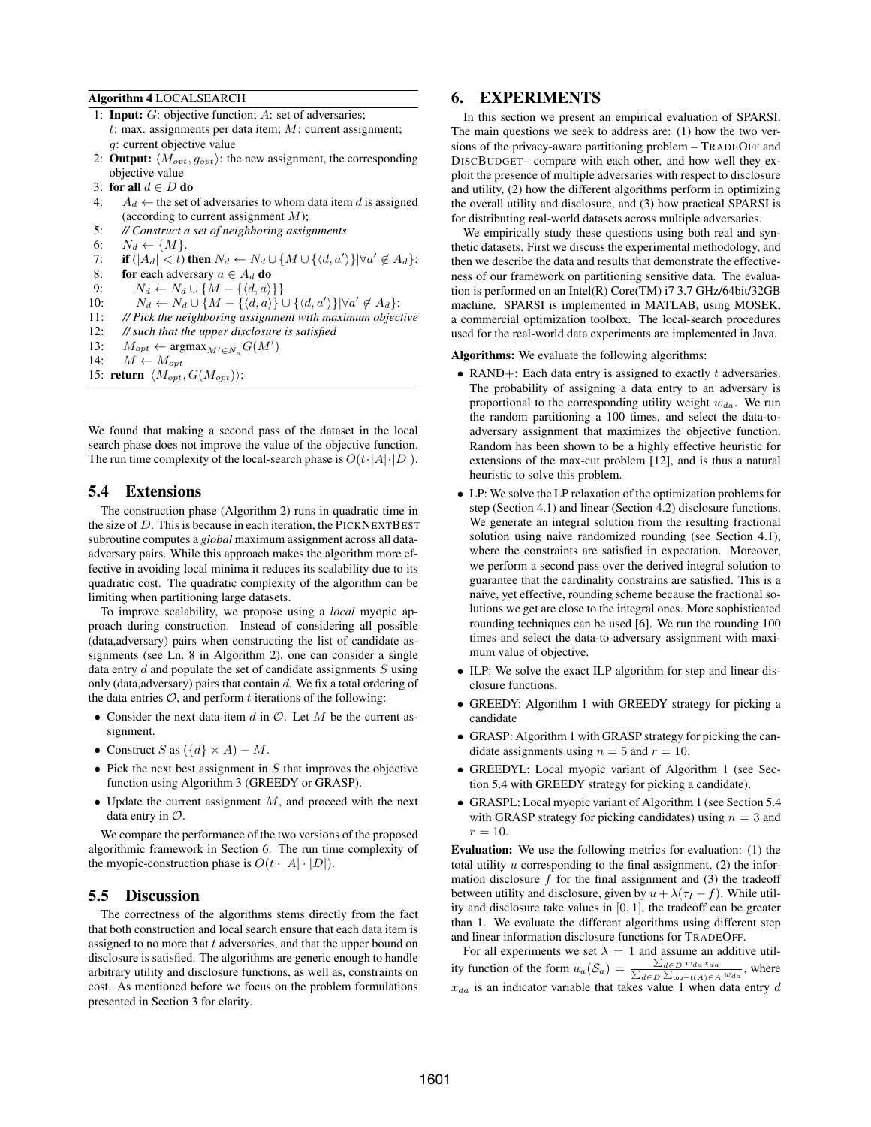#### Algorithm 4 LOCALSEARCH

- 1: Input: *G*: objective function; *A*: set of adversaries; *t*: max. assignments per data item; *M*: current assignment; *g*: current objective value
- 2: **Output:**  $\langle M_{opt}, g_{opt} \rangle$ : the new assignment, the corresponding objective value
- 3: **for all**  $d \in D$  **do**<br>4:  $A_d \leftarrow$  the set of
- $A_d \leftarrow$  the set of adversaries to whom data item *d* is assigned (according to current assignment *M*);
- 5: *// Construct a set of neighboring assignments*
- 6:  $N_d \leftarrow \{M\}.$ <br>7: **if**  $(|A_d| < t)$
- 7: if  $(|A_d| < t)$  then  $N_d \leftarrow N_d \cup \{M \cup \{\langle d, a' \rangle\} | \forall a' \notin A_d\};$
- 8: **for** each adversary  $a \in A_d$  **do**<br>9:  $N_d \leftarrow N_d \cup \{M \{\langle d, a \rangle\}$
- 9:  $N_d \leftarrow N_d \cup \{M \{\langle d, a \rangle\}\}$ <br>10:  $N_d \leftarrow N_d \cup \{M \{\langle d, a \rangle\}\}$
- 10:  $N_d \leftarrow N_d \cup \{M \{\langle d, a \rangle\} \cup \{\langle d, a' \rangle\} | \forall a' \notin A_d\};$
- 11: *// Pick the neighboring assignment with maximum objective* 12: *// such that the upper disclosure is satisfied*
- 
- 13:  $M_{opt} \leftarrow \operatorname{argmax}_{M' \in N_d} G(M')$ 14:  $M \leftarrow M_{opt}$
- 15: **return**  $\langle M_{opt}, G(M_{opt}) \rangle$ ;

We found that making a second pass of the dataset in the local search phase does not improve the value of the objective function. The run time complexity of the local-search phase is  $O(t \cdot |A| \cdot |D|)$ .

## 5.4 Extensions

The construction phase (Algorithm 2) runs in quadratic time in the size of *D*. This is because in each iteration, the PICKNEXTBEST subroutine computes a *global* maximum assignment across all dataadversary pairs. While this approach makes the algorithm more effective in avoiding local minima it reduces its scalability due to its quadratic cost. The quadratic complexity of the algorithm can be limiting when partitioning large datasets.

To improve scalability, we propose using a *local* myopic approach during construction. Instead of considering all possible (data,adversary) pairs when constructing the list of candidate assignments (see Ln. 8 in Algorithm 2), one can consider a single data entry *d* and populate the set of candidate assignments *S* using only (data,adversary) pairs that contain *d*. We fix a total ordering of the data entries  $O$ , and perform  $t$  iterations of the following:

- *•* Consider the next data item *d* in *O*. Let *M* be the current assignment.
- Construct *S* as  $({d} \times A) M$ .
- *•* Pick the next best assignment in *S* that improves the objective function using Algorithm 3 (GREEDY or GRASP).
- *•* Update the current assignment *M*, and proceed with the next data entry in *O*.

We compare the performance of the two versions of the proposed algorithmic framework in Section 6. The run time complexity of the myopic-construction phase is  $O(t \cdot |A| \cdot |D|)$ .

#### 5.5 Discussion

The correctness of the algorithms stems directly from the fact that both construction and local search ensure that each data item is assigned to no more that *t* adversaries, and that the upper bound on disclosure is satisfied. The algorithms are generic enough to handle arbitrary utility and disclosure functions, as well as, constraints on cost. As mentioned before we focus on the problem formulations presented in Section 3 for clarity.

## 6. EXPERIMENTS

In this section we present an empirical evaluation of SPARSI. The main questions we seek to address are: (1) how the two versions of the privacy-aware partitioning problem – TRADEOFF and DISCBUDGET– compare with each other, and how well they exploit the presence of multiple adversaries with respect to disclosure and utility, (2) how the different algorithms perform in optimizing the overall utility and disclosure, and (3) how practical SPARSI is for distributing real-world datasets across multiple adversaries.

We empirically study these questions using both real and synthetic datasets. First we discuss the experimental methodology, and then we describe the data and results that demonstrate the effectiveness of our framework on partitioning sensitive data. The evaluation is performed on an Intel(R) Core(TM) i7 3.7 GHz/64bit/32GB machine. SPARSI is implemented in MATLAB, using MOSEK, a commercial optimization toolbox. The local-search procedures used for the real-world data experiments are implemented in Java.

Algorithms: We evaluate the following algorithms:

- *•* RAND+: Each data entry is assigned to exactly *t* adversaries. The probability of assigning a data entry to an adversary is proportional to the corresponding utility weight *wda*. We run the random partitioning a 100 times, and select the data-toadversary assignment that maximizes the objective function. Random has been shown to be a highly effective heuristic for extensions of the max-cut problem [12], and is thus a natural heuristic to solve this problem.
- *•* LP: We solve the LP relaxation of the optimization problems for step (Section 4.1) and linear (Section 4.2) disclosure functions. We generate an integral solution from the resulting fractional solution using naive randomized rounding (see Section 4.1), where the constraints are satisfied in expectation. Moreover, we perform a second pass over the derived integral solution to guarantee that the cardinality constrains are satisfied. This is a naive, yet effective, rounding scheme because the fractional solutions we get are close to the integral ones. More sophisticated rounding techniques can be used [6]. We run the rounding 100 times and select the data-to-adversary assignment with maximum value of objective.
- *•* ILP: We solve the exact ILP algorithm for step and linear disclosure functions.
- *•* GREEDY: Algorithm 1 with GREEDY strategy for picking a candidate
- *•* GRASP: Algorithm 1 with GRASP strategy for picking the candidate assignments using  $n = 5$  and  $r = 10$ .
- *•* GREEDYL: Local myopic variant of Algorithm 1 (see Section 5.4 with GREEDY strategy for picking a candidate).
- *•* GRASPL: Local myopic variant of Algorithm 1 (see Section 5.4 with GRASP strategy for picking candidates) using  $n = 3$  and  $r = 10$ .

Evaluation: We use the following metrics for evaluation: (1) the total utility *u* corresponding to the final assignment, (2) the information disclosure *f* for the final assignment and (3) the tradeoff between utility and disclosure, given by  $u + \lambda(\tau_I - f)$ . While utility and disclosure take values in [0*,* 1], the tradeoff can be greater than 1. We evaluate the different algorithms using different step and linear information disclosure functions for TRADEOFF.

For all experiments we set  $\lambda = 1$  and assume an additive utility function of the form  $u_a(S_a) = \frac{\sum_{d \in D} w_{da} x_{da}}{\sum_{d \in D} \sum_{\text{top}-(A) \in A} w_{da}}$ , where  $x_{da}$  is an indicator variable that takes value 1 when data entry  $d$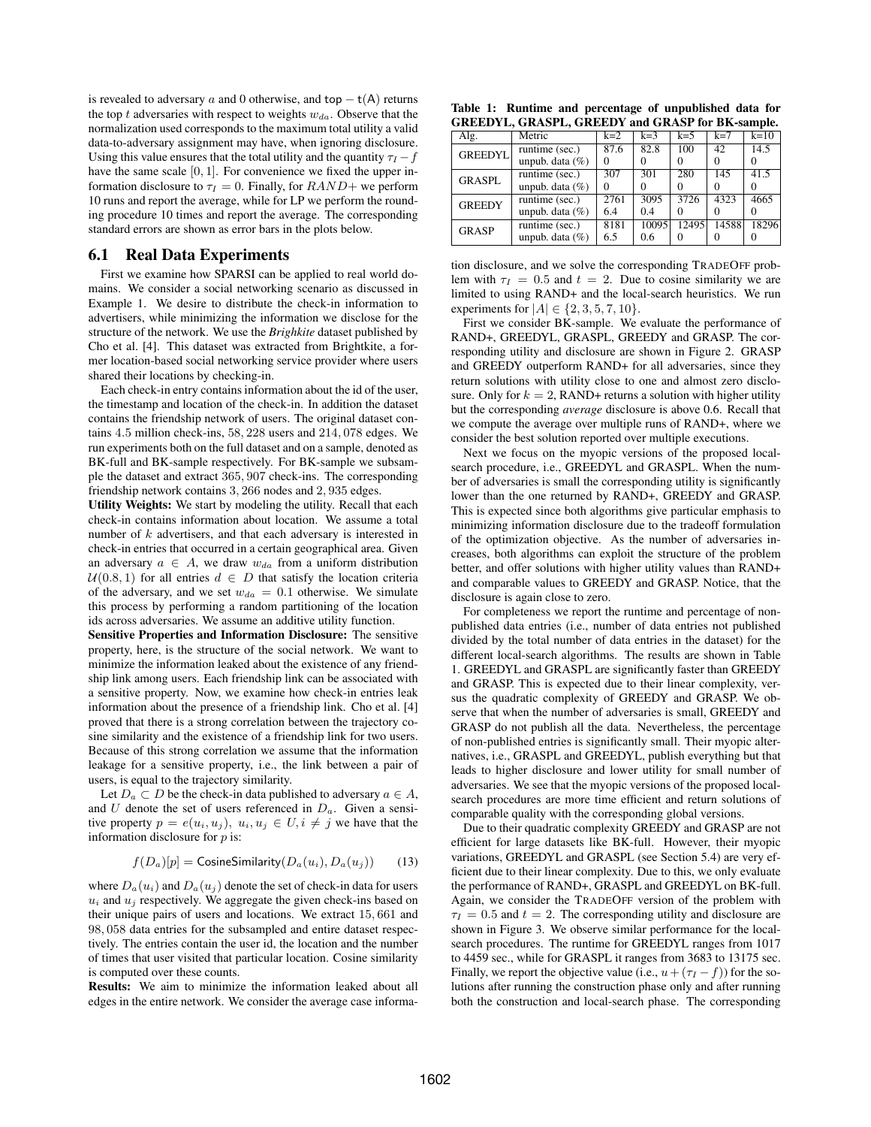is revealed to adversary  $a$  and 0 otherwise, and top  $-t(A)$  returns the top *t* adversaries with respect to weights *wda*. Observe that the normalization used corresponds to the maximum total utility a valid data-to-adversary assignment may have, when ignoring disclosure. Using this value ensures that the total utility and the quantity  $\tau_I - f$ have the same scale [0*,* 1]. For convenience we fixed the upper information disclosure to  $\tau_I = 0$ . Finally, for  $RAND+$  we perform 10 runs and report the average, while for LP we perform the rounding procedure 10 times and report the average. The corresponding standard errors are shown as error bars in the plots below.

### 6.1 Real Data Experiments

First we examine how SPARSI can be applied to real world domains. We consider a social networking scenario as discussed in Example 1. We desire to distribute the check-in information to advertisers, while minimizing the information we disclose for the structure of the network. We use the *Brighkite* dataset published by Cho et al. [4]. This dataset was extracted from Brightkite, a former location-based social networking service provider where users shared their locations by checking-in.

Each check-in entry contains information about the id of the user, the timestamp and location of the check-in. In addition the dataset contains the friendship network of users. The original dataset contains 4*.*5 million check-ins, 58*,* 228 users and 214*,* 078 edges. We run experiments both on the full dataset and on a sample, denoted as BK-full and BK-sample respectively. For BK-sample we subsample the dataset and extract 365*,* 907 check-ins. The corresponding friendship network contains 3*,* 266 nodes and 2*,* 935 edges.

Utility Weights: We start by modeling the utility. Recall that each check-in contains information about location. We assume a total number of *k* advertisers, and that each adversary is interested in check-in entries that occurred in a certain geographical area. Given an adversary  $a \in A$ , we draw  $w_{da}$  from a uniform distribution  $U(0.8, 1)$  for all entries  $d \in D$  that satisfy the location criteria of the adversary, and we set  $w_{da} = 0.1$  otherwise. We simulate this process by performing a random partitioning of the location ids across adversaries. We assume an additive utility function.

Sensitive Properties and Information Disclosure: The sensitive property, here, is the structure of the social network. We want to minimize the information leaked about the existence of any friendship link among users. Each friendship link can be associated with a sensitive property. Now, we examine how check-in entries leak information about the presence of a friendship link. Cho et al. [4] proved that there is a strong correlation between the trajectory cosine similarity and the existence of a friendship link for two users. Because of this strong correlation we assume that the information leakage for a sensitive property, i.e., the link between a pair of users, is equal to the trajectory similarity.

Let  $D_a \subset D$  be the check-in data published to adversary  $a \in A$ , and *U* denote the set of users referenced in *Da*. Given a sensitive property  $p = e(u_i, u_j)$ ,  $u_i, u_j \in U, i \neq j$  we have that the information disclosure for *p* is:

$$
f(D_a)[p] = \text{CosineSimilarity}(D_a(u_i), D_a(u_j)) \tag{13}
$$

where  $D_a(u_i)$  and  $D_a(u_j)$  denote the set of check-in data for users  $u_i$  and  $u_j$  respectively. We aggregate the given check-ins based on their unique pairs of users and locations. We extract 15*,* 661 and 98*,* 058 data entries for the subsampled and entire dataset respectively. The entries contain the user id, the location and the number of times that user visited that particular location. Cosine similarity is computed over these counts.

Results: We aim to minimize the information leaked about all edges in the entire network. We consider the average case informa-

| <b>GREEDYL, GRASPL, GREEDY and GRASP for BK-sample.</b> |                         |       |       |                  |       |              |  |  |  |
|---------------------------------------------------------|-------------------------|-------|-------|------------------|-------|--------------|--|--|--|
| Alg.                                                    | Metric                  | $k=2$ | $k=3$ | $k=5$            | $k=7$ | $k=10$       |  |  |  |
| <b>GREEDYL</b>                                          | runtime (sec.)          | 87.6  | 82.8  | 100              | 42    | 14.5         |  |  |  |
|                                                         | unpub. data $(\%)$      |       |       |                  |       | $\mathbf{0}$ |  |  |  |
| <b>GRASPL</b>                                           | runtime $(\sec.)$       | 307   | 301   | 280              | 145   | 41.5         |  |  |  |
|                                                         | unpub. data $(\%)$      |       |       |                  |       | $\mathbf{0}$ |  |  |  |
| <b>GREEDY</b>                                           | runtime (sec.)          | 2761  | 3095  | $\frac{1}{3726}$ | 4323  | 4665         |  |  |  |
|                                                         | unpub. data $(\%)$      | 6.4   | 0.4   |                  |       |              |  |  |  |
| <b>GRASP</b>                                            | runtime (sec.)          | 8181  | 10095 | 12495            | 14588 | 18296        |  |  |  |
|                                                         | unnub dota $(0\lambda)$ | 65    | 0 K   |                  |       |              |  |  |  |

Table 1: Runtime and percentage of unpublished data for

unpub. data  $(\%)$  6.5 0.6 0 0 0 tion disclosure, and we solve the corresponding TRADEOFF problem with  $\tau_I = 0.5$  and  $t = 2$ . Due to cosine similarity we are limited to using RAND+ and the local-search heuristics. We run

experiments for  $|A| \in \{2, 3, 5, 7, 10\}$ . First we consider BK-sample. We evaluate the performance of RAND+, GREEDYL, GRASPL, GREEDY and GRASP. The corresponding utility and disclosure are shown in Figure 2. GRASP and GREEDY outperform RAND+ for all adversaries, since they return solutions with utility close to one and almost zero disclosure. Only for  $k = 2$ , RAND+ returns a solution with higher utility but the corresponding *average* disclosure is above 0.6. Recall that we compute the average over multiple runs of RAND+, where we consider the best solution reported over multiple executions.

Next we focus on the myopic versions of the proposed localsearch procedure, i.e., GREEDYL and GRASPL. When the number of adversaries is small the corresponding utility is significantly lower than the one returned by RAND+, GREEDY and GRASP. This is expected since both algorithms give particular emphasis to minimizing information disclosure due to the tradeoff formulation of the optimization objective. As the number of adversaries increases, both algorithms can exploit the structure of the problem better, and offer solutions with higher utility values than RAND+ and comparable values to GREEDY and GRASP. Notice, that the disclosure is again close to zero.

For completeness we report the runtime and percentage of nonpublished data entries (i.e., number of data entries not published divided by the total number of data entries in the dataset) for the different local-search algorithms. The results are shown in Table 1. GREEDYL and GRASPL are significantly faster than GREEDY and GRASP. This is expected due to their linear complexity, versus the quadratic complexity of GREEDY and GRASP. We observe that when the number of adversaries is small, GREEDY and GRASP do not publish all the data. Nevertheless, the percentage of non-published entries is significantly small. Their myopic alternatives, i.e., GRASPL and GREEDYL, publish everything but that leads to higher disclosure and lower utility for small number of adversaries. We see that the myopic versions of the proposed localsearch procedures are more time efficient and return solutions of comparable quality with the corresponding global versions.

Due to their quadratic complexity GREEDY and GRASP are not efficient for large datasets like BK-full. However, their myopic variations, GREEDYL and GRASPL (see Section 5.4) are very efficient due to their linear complexity. Due to this, we only evaluate the performance of RAND+, GRASPL and GREEDYL on BK-full. Again, we consider the TRADEOFF version of the problem with  $\tau_I = 0.5$  and  $t = 2$ . The corresponding utility and disclosure are shown in Figure 3. We observe similar performance for the localsearch procedures. The runtime for GREEDYL ranges from 1017 to 4459 sec., while for GRASPL it ranges from 3683 to 13175 sec. Finally, we report the objective value (i.e.,  $u + (\tau_I - f)$ ) for the solutions after running the construction phase only and after running both the construction and local-search phase. The corresponding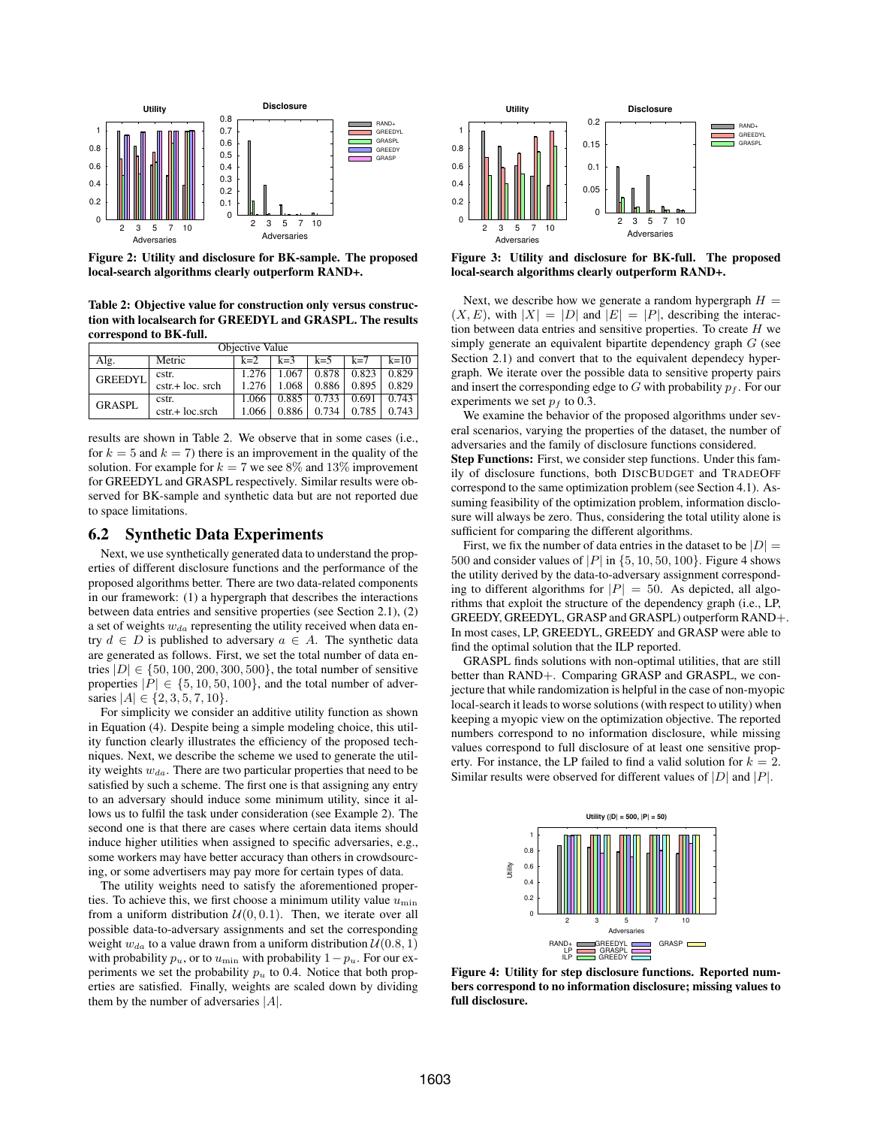

Figure 2: Utility and disclosure for BK-sample. The proposed local-search algorithms clearly outperform RAND+.

Table 2: Objective value for construction only versus construction with localsearch for GREEDYL and GRASPL. The results correspond to BK-full.

| Objective Value |                                |       |       |       |               |        |  |  |  |
|-----------------|--------------------------------|-------|-------|-------|---------------|--------|--|--|--|
| Alg.            | Metric                         | $k=2$ | $k=3$ | $k=5$ | $k=7$         | $k=10$ |  |  |  |
| <b>GREEDYL</b>  | cstr.                          | 1.276 | 1.067 |       | $0.878$ 0.823 | 0.829  |  |  |  |
|                 | cstr.+ loc. srch               | 1.276 | 1.068 | 0.886 | 0.895         | 0.829  |  |  |  |
| <b>GRASPL</b>   | estr.                          | 1.066 | 0.885 | 0.733 | 0.691         | 0.743  |  |  |  |
|                 | $\text{cstr.}+\text{loc.srch}$ | 1.066 | 0.886 | 0.734 | 0.785         | 0.743  |  |  |  |

results are shown in Table 2. We observe that in some cases (i.e., for  $k = 5$  and  $k = 7$ ) there is an improvement in the quality of the solution. For example for  $k = 7$  we see 8% and 13% improvement for GREEDYL and GRASPL respectively. Similar results were observed for BK-sample and synthetic data but are not reported due to space limitations.

### 6.2 Synthetic Data Experiments

Next, we use synthetically generated data to understand the properties of different disclosure functions and the performance of the proposed algorithms better. There are two data-related components in our framework: (1) a hypergraph that describes the interactions between data entries and sensitive properties (see Section 2.1), (2) a set of weights *wda* representing the utility received when data entry  $d \in D$  is published to adversary  $a \in A$ . The synthetic data are generated as follows. First, we set the total number of data entries  $|D| \in \{50, 100, 200, 300, 500\}$ , the total number of sensitive properties  $|P| \in \{5, 10, 50, 100\}$ , and the total number of adversaries  $|A| \in \{2, 3, 5, 7, 10\}.$ 

For simplicity we consider an additive utility function as shown in Equation (4). Despite being a simple modeling choice, this utility function clearly illustrates the efficiency of the proposed techniques. Next, we describe the scheme we used to generate the utility weights *wda*. There are two particular properties that need to be satisfied by such a scheme. The first one is that assigning any entry to an adversary should induce some minimum utility, since it allows us to fulfil the task under consideration (see Example 2). The second one is that there are cases where certain data items should induce higher utilities when assigned to specific adversaries, e.g., some workers may have better accuracy than others in crowdsourcing, or some advertisers may pay more for certain types of data.

The utility weights need to satisfy the aforementioned properties. To achieve this, we first choose a minimum utility value *u*min from a uniform distribution  $U(0, 0.1)$ . Then, we iterate over all possible data-to-adversary assignments and set the corresponding weight  $w_{da}$  to a value drawn from a uniform distribution  $U(0.8, 1)$ with probability  $p_u$ , or to  $u_{\min}$  with probability  $1 - p_u$ . For our experiments we set the probability  $p_u$  to 0.4. Notice that both properties are satisfied. Finally, weights are scaled down by dividing them by the number of adversaries *|A|*.



Figure 3: Utility and disclosure for BK-full. The proposed local-search algorithms clearly outperform RAND+.

Next, we describe how we generate a random hypergraph  $H =$  $(X, E)$ , with  $|X| = |D|$  and  $|E| = |P|$ , describing the interaction between data entries and sensitive properties. To create *H* we simply generate an equivalent bipartite dependency graph *G* (see Section 2.1) and convert that to the equivalent dependecy hypergraph. We iterate over the possible data to sensitive property pairs and insert the corresponding edge to  $G$  with probability  $p_f$ . For our experiments we set  $p_f$  to 0.3.

We examine the behavior of the proposed algorithms under several scenarios, varying the properties of the dataset, the number of adversaries and the family of disclosure functions considered. Step Functions: First, we consider step functions. Under this fam-

ily of disclosure functions, both DISCBUDGET and TRADEOFF correspond to the same optimization problem (see Section 4.1). Assuming feasibility of the optimization problem, information disclosure will always be zero. Thus, considering the total utility alone is sufficient for comparing the different algorithms.

First, we fix the number of data entries in the dataset to be  $|D|$  = 500 and consider values of *|P|* in *{*5*,* 10*,* 50*,* 100*}*. Figure 4 shows the utility derived by the data-to-adversary assignment corresponding to different algorithms for  $|P| = 50$ . As depicted, all algorithms that exploit the structure of the dependency graph (i.e., LP, GREEDY, GREEDYL, GRASP and GRASPL) outperform RAND+. In most cases, LP, GREEDYL, GREEDY and GRASP were able to find the optimal solution that the ILP reported.

GRASPL finds solutions with non-optimal utilities, that are still better than RAND+. Comparing GRASP and GRASPL, we conjecture that while randomization is helpful in the case of non-myopic local-search it leads to worse solutions (with respect to utility) when keeping a myopic view on the optimization objective. The reported numbers correspond to no information disclosure, while missing values correspond to full disclosure of at least one sensitive property. For instance, the LP failed to find a valid solution for  $k = 2$ . Similar results were observed for different values of *|D|* and *|P|*.



Figure 4: Utility for step disclosure functions. Reported numbers correspond to no information disclosure; missing values to full disclosure.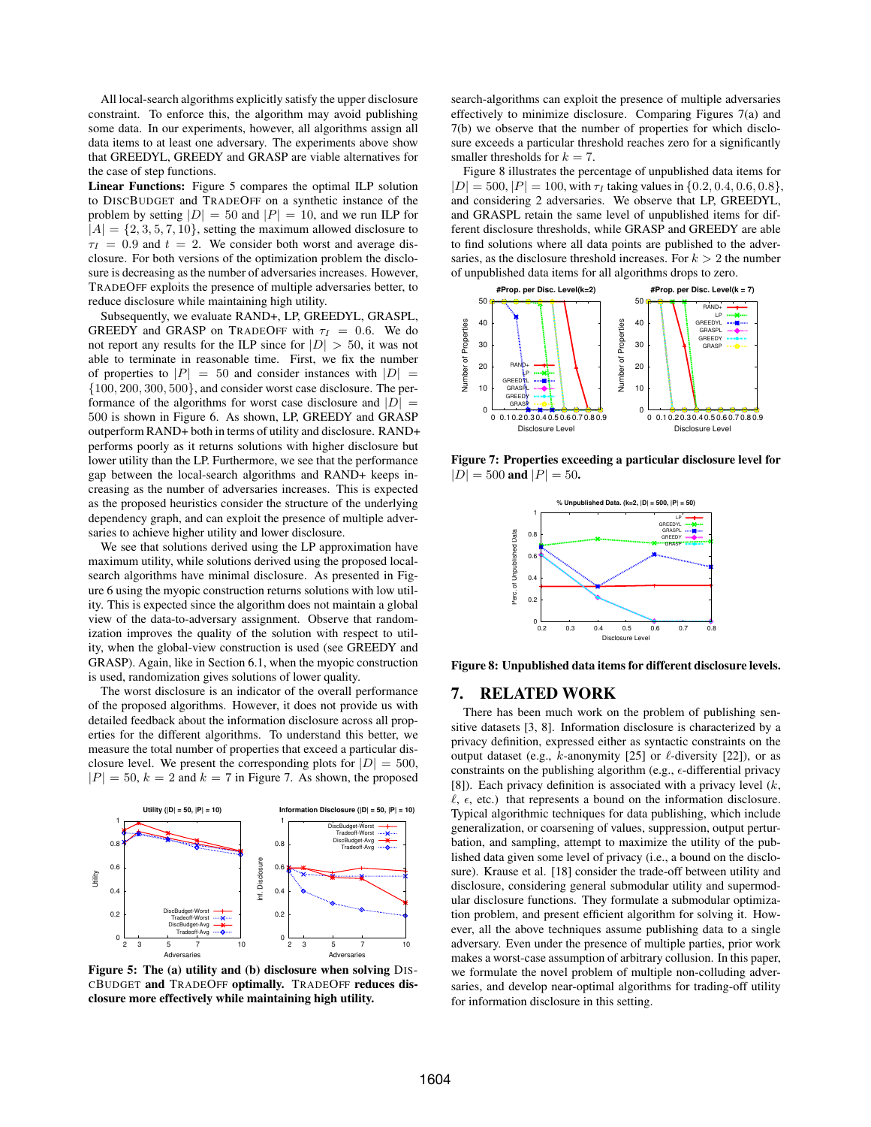All local-search algorithms explicitly satisfy the upper disclosure constraint. To enforce this, the algorithm may avoid publishing some data. In our experiments, however, all algorithms assign all data items to at least one adversary. The experiments above show that GREEDYL, GREEDY and GRASP are viable alternatives for the case of step functions.

Linear Functions: Figure 5 compares the optimal ILP solution to DISCBUDGET and TRADEOFF on a synthetic instance of the problem by setting  $|D| = 50$  and  $|P| = 10$ , and we run ILP for  $|A| = \{2, 3, 5, 7, 10\}$ , setting the maximum allowed disclosure to  $\tau_I = 0.9$  and  $t = 2$ . We consider both worst and average disclosure. For both versions of the optimization problem the disclosure is decreasing as the number of adversaries increases. However, TRADEOFF exploits the presence of multiple adversaries better, to reduce disclosure while maintaining high utility.

Subsequently, we evaluate RAND+, LP, GREEDYL, GRASPL, GREEDY and GRASP on TRADEOFF with  $\tau_I = 0.6$ . We do not report any results for the ILP since for  $|D| > 50$ , it was not able to terminate in reasonable time. First, we fix the number of properties to  $|P| = 50$  and consider instances with  $|D| = 0$ *{*100*,* 200*,* 300*,* 500*}*, and consider worst case disclosure. The performance of the algorithms for worst case disclosure and  $|D|$  = 500 is shown in Figure 6. As shown, LP, GREEDY and GRASP outperform RAND+ both in terms of utility and disclosure. RAND+ performs poorly as it returns solutions with higher disclosure but lower utility than the LP. Furthermore, we see that the performance gap between the local-search algorithms and RAND+ keeps increasing as the number of adversaries increases. This is expected as the proposed heuristics consider the structure of the underlying dependency graph, and can exploit the presence of multiple adversaries to achieve higher utility and lower disclosure.

We see that solutions derived using the LP approximation have maximum utility, while solutions derived using the proposed localsearch algorithms have minimal disclosure. As presented in Figure 6 using the myopic construction returns solutions with low utility. This is expected since the algorithm does not maintain a global view of the data-to-adversary assignment. Observe that randomization improves the quality of the solution with respect to utility, when the global-view construction is used (see GREEDY and GRASP). Again, like in Section 6.1, when the myopic construction is used, randomization gives solutions of lower quality.

The worst disclosure is an indicator of the overall performance of the proposed algorithms. However, it does not provide us with detailed feedback about the information disclosure across all properties for the different algorithms. To understand this better, we measure the total number of properties that exceed a particular disclosure level. We present the corresponding plots for  $|D| = 500$ ,  $|P| = 50$ ,  $k = 2$  and  $k = 7$  in Figure 7. As shown, the proposed



Figure 5: The (a) utility and (b) disclosure when solving DIS-CBUDGET and TRADEOFF optimally. TRADEOFF reduces disclosure more effectively while maintaining high utility.

search-algorithms can exploit the presence of multiple adversaries effectively to minimize disclosure. Comparing Figures 7(a) and 7(b) we observe that the number of properties for which disclosure exceeds a particular threshold reaches zero for a significantly smaller thresholds for  $k = 7$ .

Figure 8 illustrates the percentage of unpublished data items for  $|D| = 500$ ,  $|P| = 100$ , with  $\tau_I$  taking values in  $\{0.2, 0.4, 0.6, 0.8\}$ , and considering 2 adversaries. We observe that LP, GREEDYL, and GRASPL retain the same level of unpublished items for different disclosure thresholds, while GRASP and GREEDY are able to find solutions where all data points are published to the adversaries, as the disclosure threshold increases. For *k >* 2 the number of unpublished data items for all algorithms drops to zero.



Figure 7: Properties exceeding a particular disclosure level for  $|D| = 500$  and  $|P| = 50$ .



Figure 8: Unpublished data items for different disclosure levels.

#### 7. RELATED WORK

There has been much work on the problem of publishing sensitive datasets [3, 8]. Information disclosure is characterized by a privacy definition, expressed either as syntactic constraints on the output dataset (e.g.,  $k$ -anonymity [25] or  $\ell$ -diversity [22]), or as constraints on the publishing algorithm (e.g.,  $\epsilon$ -differential privacy [8]). Each privacy definition is associated with a privacy level (*k*,  $\ell$ ,  $\epsilon$ , etc.) that represents a bound on the information disclosure. Typical algorithmic techniques for data publishing, which include generalization, or coarsening of values, suppression, output perturbation, and sampling, attempt to maximize the utility of the published data given some level of privacy (i.e., a bound on the disclosure). Krause et al. [18] consider the trade-off between utility and disclosure, considering general submodular utility and supermodular disclosure functions. They formulate a submodular optimization problem, and present efficient algorithm for solving it. However, all the above techniques assume publishing data to a single adversary. Even under the presence of multiple parties, prior work makes a worst-case assumption of arbitrary collusion. In this paper, we formulate the novel problem of multiple non-colluding adversaries, and develop near-optimal algorithms for trading-off utility for information disclosure in this setting.